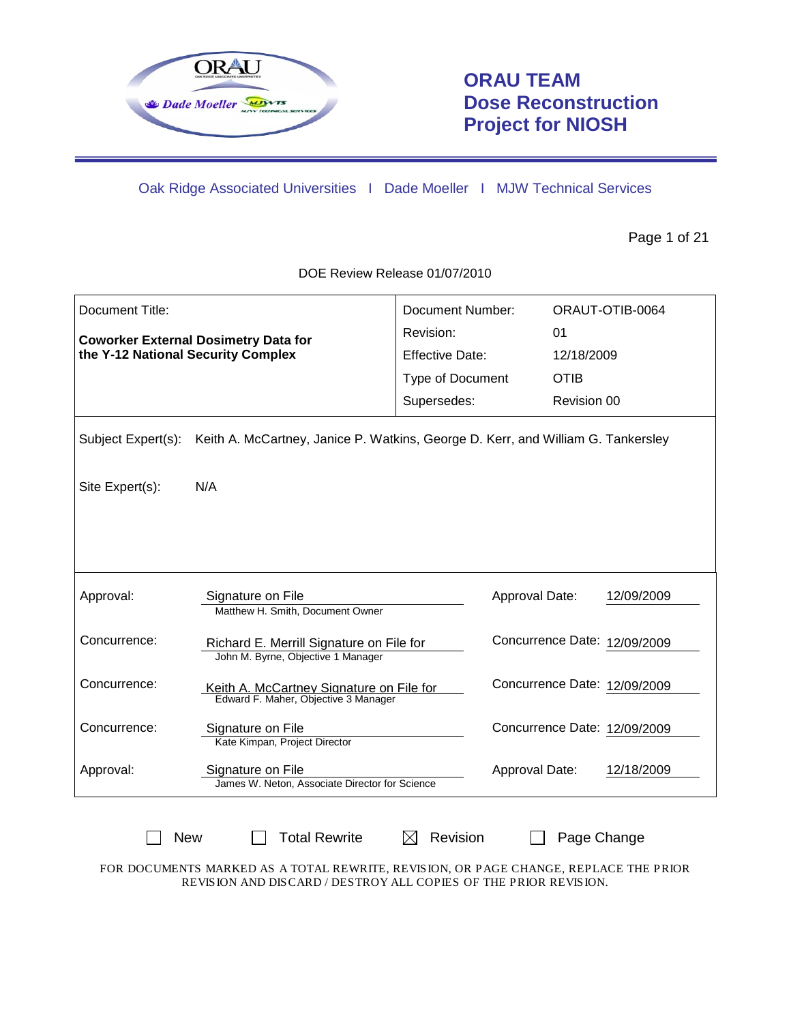

# **ORAU TEAM Dose Reconstruction Project for NIOSH**

Oak Ridge Associated Universities I Dade Moeller I MJW Technical Services

Page 1 of 21

DOE Review Release 01/07/2010

| Document Title:                             |                                                                                  | Document Number:       |                              | ORAUT-OTIB-0064 |
|---------------------------------------------|----------------------------------------------------------------------------------|------------------------|------------------------------|-----------------|
| <b>Coworker External Dosimetry Data for</b> |                                                                                  | Revision:              | 01                           |                 |
| the Y-12 National Security Complex          |                                                                                  | <b>Effective Date:</b> | 12/18/2009                   |                 |
|                                             |                                                                                  | Type of Document       | <b>OTIB</b>                  |                 |
|                                             |                                                                                  | Supersedes:            | Revision 00                  |                 |
| Subject Expert(s):                          | Keith A. McCartney, Janice P. Watkins, George D. Kerr, and William G. Tankersley |                        |                              |                 |
| Site Expert(s):                             | N/A                                                                              |                        |                              |                 |
|                                             |                                                                                  |                        |                              |                 |
| Approval:                                   | Signature on File<br>Matthew H. Smith, Document Owner                            |                        | Approval Date:               | 12/09/2009      |
| Concurrence:                                | Richard E. Merrill Signature on File for<br>John M. Byrne, Objective 1 Manager   |                        | Concurrence Date: 12/09/2009 |                 |
| Concurrence:                                | Keith A. McCartney Signature on File for<br>Edward F. Maher, Objective 3 Manager |                        | Concurrence Date: 12/09/2009 |                 |
| Concurrence:                                | Signature on File<br>Kate Kimpan, Project Director                               |                        | Concurrence Date: 12/09/2009 |                 |
| Approval:                                   | Signature on File<br>James W. Neton, Associate Director for Science              |                        | Approval Date:               | 12/18/2009      |
|                                             |                                                                                  |                        |                              |                 |

FOR DOCUMENTS MARKED AS A TOTAL REWRITE, REVISION, OR PAGE CHANGE, REPLACE THE PRIOR REVISION AND DISCARD / DESTROY ALL COPIES OF THE PRIOR REVISION.

 $\Box$  New  $\Box$  Total Rewrite  $\Box$  Revision  $\Box$  Page Change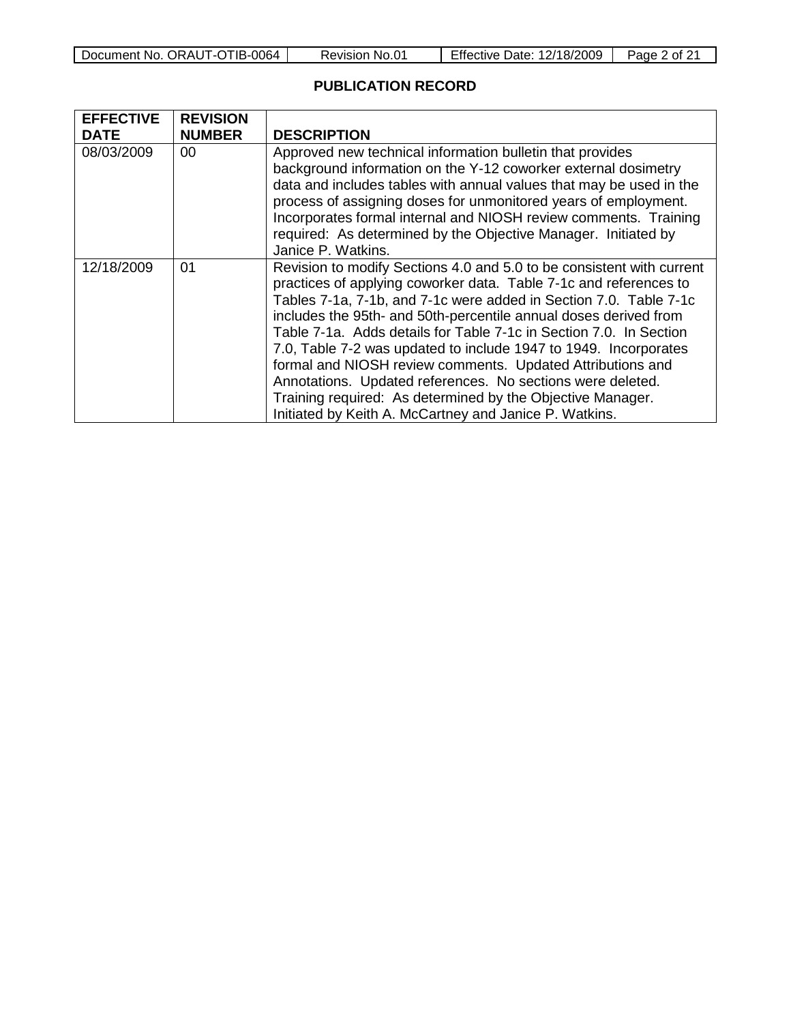| Document No. ORAUT-OTIB-0064 |  |
|------------------------------|--|
|------------------------------|--|

## **PUBLICATION RECORD**

| <b>EFFECTIVE</b> | <b>REVISION</b> |                                                                                                                                                                                                                                                                                                                                                                                                                                                                                                                                                                                                                                                                                   |
|------------------|-----------------|-----------------------------------------------------------------------------------------------------------------------------------------------------------------------------------------------------------------------------------------------------------------------------------------------------------------------------------------------------------------------------------------------------------------------------------------------------------------------------------------------------------------------------------------------------------------------------------------------------------------------------------------------------------------------------------|
| <b>DATE</b>      | <b>NUMBER</b>   | <b>DESCRIPTION</b>                                                                                                                                                                                                                                                                                                                                                                                                                                                                                                                                                                                                                                                                |
| 08/03/2009       | 00              | Approved new technical information bulletin that provides<br>background information on the Y-12 coworker external dosimetry<br>data and includes tables with annual values that may be used in the<br>process of assigning doses for unmonitored years of employment.<br>Incorporates formal internal and NIOSH review comments. Training<br>required: As determined by the Objective Manager. Initiated by<br>Janice P. Watkins.                                                                                                                                                                                                                                                 |
| 12/18/2009       | 01              | Revision to modify Sections 4.0 and 5.0 to be consistent with current<br>practices of applying coworker data. Table 7-1c and references to<br>Tables 7-1a, 7-1b, and 7-1c were added in Section 7.0. Table 7-1c<br>includes the 95th- and 50th-percentile annual doses derived from<br>Table 7-1a. Adds details for Table 7-1c in Section 7.0. In Section<br>7.0, Table 7-2 was updated to include 1947 to 1949. Incorporates<br>formal and NIOSH review comments. Updated Attributions and<br>Annotations. Updated references. No sections were deleted.<br>Training required: As determined by the Objective Manager.<br>Initiated by Keith A. McCartney and Janice P. Watkins. |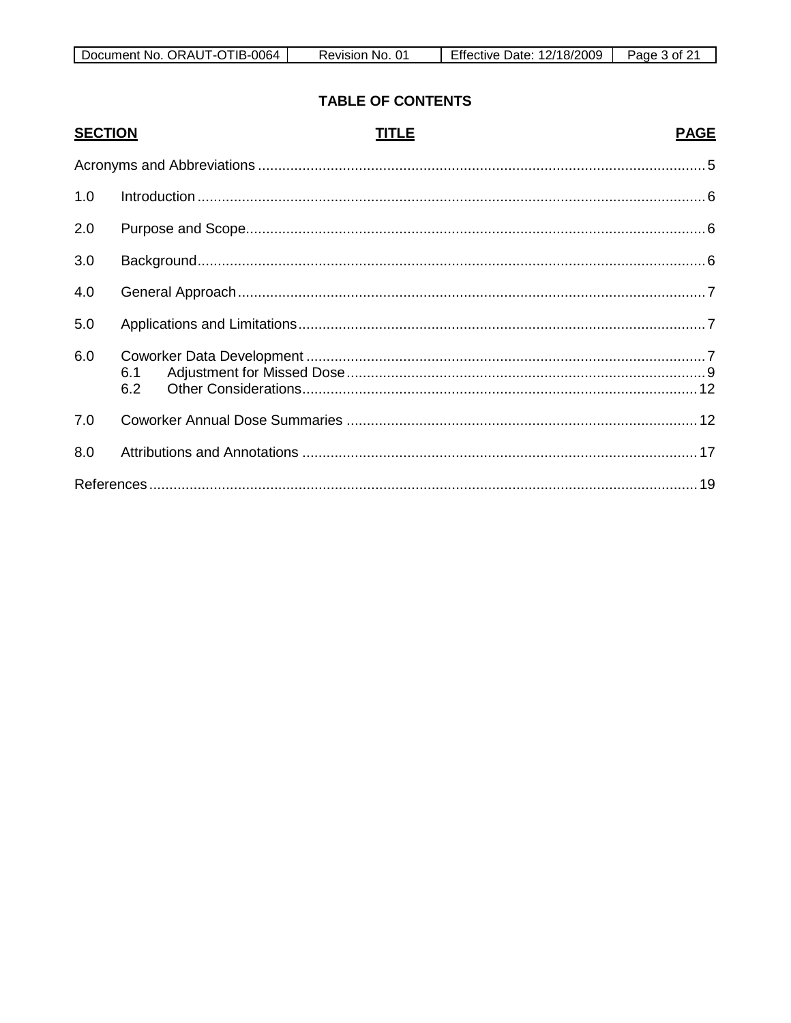| Document No. ORAUT-OTIB-0064 | ⊀evision<br>≅No. | <b>Effective Date: 12/18/2009</b> | Page<br>3 ∩f. |
|------------------------------|------------------|-----------------------------------|---------------|

# **TABLE OF CONTENTS**

| <b>SECTION</b> | TITLE      | <b>PAGE</b> |
|----------------|------------|-------------|
|                |            |             |
| 1.0            |            |             |
| 2.0            |            |             |
| 3.0            |            |             |
| 4.0            |            |             |
| 5.0            |            |             |
| 6.0            | 6.1<br>6.2 |             |
| 7.0            |            |             |
| 8.0            |            |             |
|                |            |             |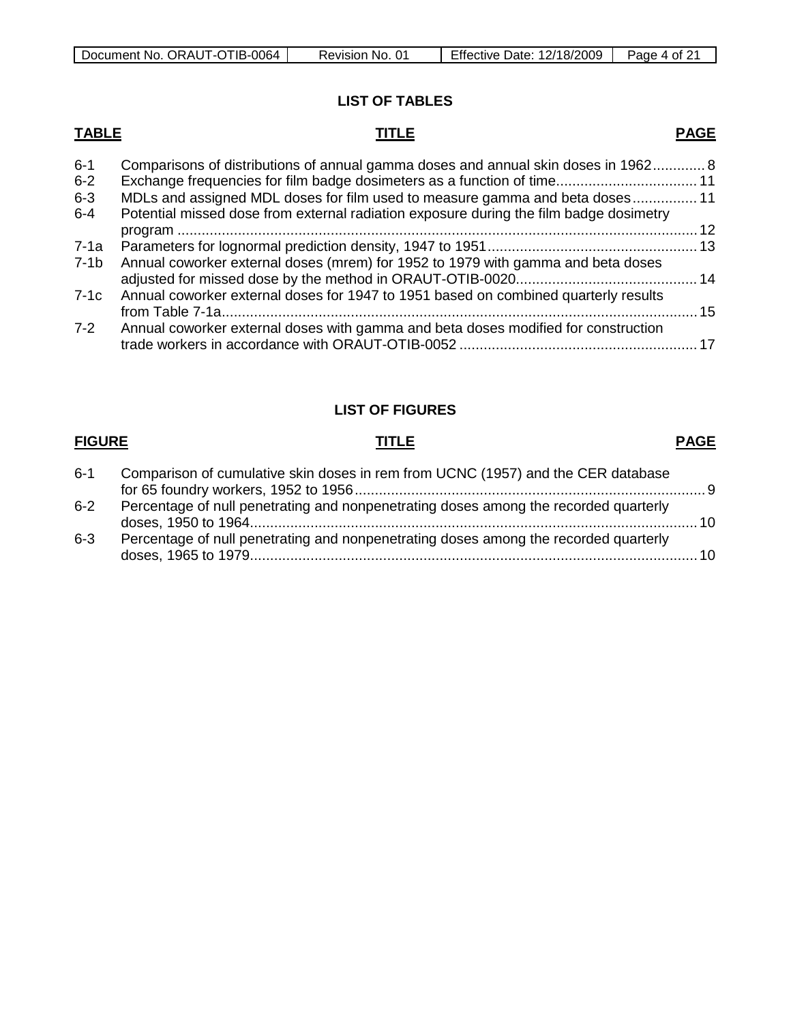| Document No. ORAUT-OTIB-0064 | Revision No. | Effective Date: 12/18/2009 | Page<br>4 of |
|------------------------------|--------------|----------------------------|--------------|

# **LIST OF TABLES**

# **TABLE TITLE**

# **PAGE**

| Potential missed dose from external radiation exposure during the film badge dosimetry |                                                                                                                                                                    |
|----------------------------------------------------------------------------------------|--------------------------------------------------------------------------------------------------------------------------------------------------------------------|
|                                                                                        |                                                                                                                                                                    |
|                                                                                        |                                                                                                                                                                    |
| Annual coworker external doses (mrem) for 1952 to 1979 with gamma and beta doses       |                                                                                                                                                                    |
|                                                                                        |                                                                                                                                                                    |
| Annual coworker external doses for 1947 to 1951 based on combined quarterly results    |                                                                                                                                                                    |
|                                                                                        |                                                                                                                                                                    |
| Annual coworker external doses with gamma and beta doses modified for construction     |                                                                                                                                                                    |
|                                                                                        | Comparisons of distributions of annual gamma doses and annual skin doses in 1962 8<br>MDLs and assigned MDL doses for film used to measure gamma and beta doses 11 |

# **LIST OF FIGURES**

## **FIGURE TITLE**

### **PAGE**

| $6 - 1$ | Comparison of cumulative skin doses in rem from UCNC (1957) and the CER database     |  |
|---------|--------------------------------------------------------------------------------------|--|
|         |                                                                                      |  |
| $6 - 2$ | Percentage of null penetrating and nonpenetrating doses among the recorded quarterly |  |
| $6 - 3$ | Percentage of null penetrating and nonpenetrating doses among the recorded quarterly |  |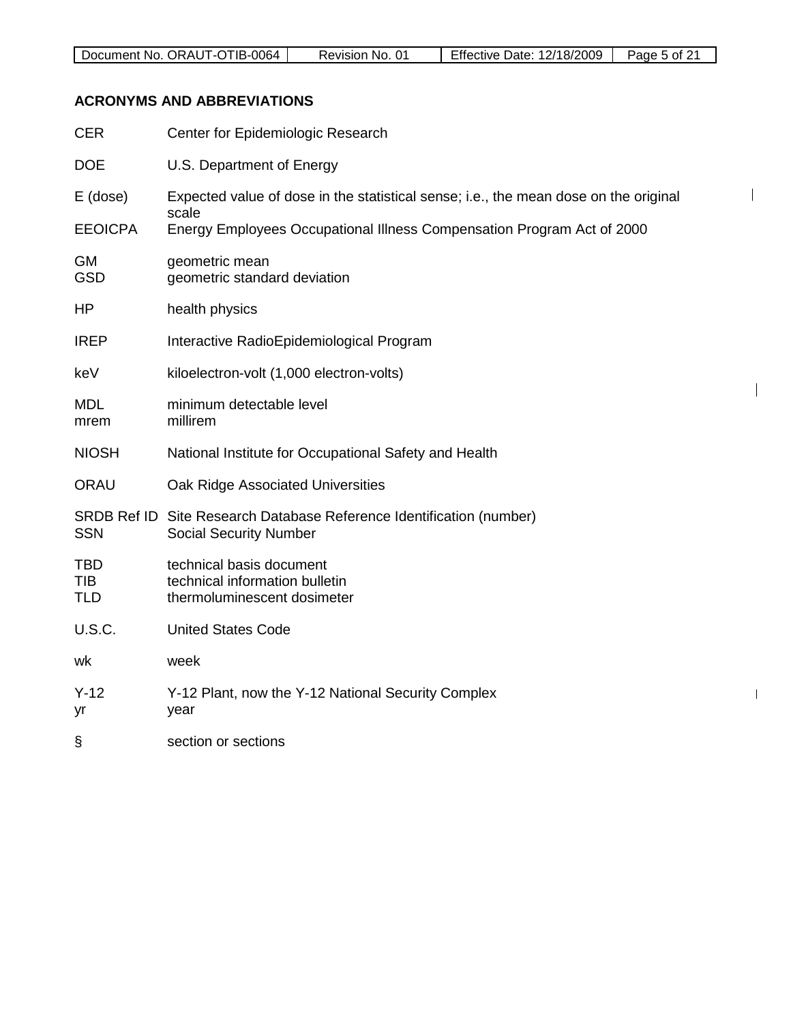$\mathsf{I}$ 

 $\overline{\phantom{a}}$ 

 $\mathbf{I}$ 

### **ACRONYMS AND ABBREVIATIONS**

| <b>CER</b>                             | Center for Epidemiologic Research                                                                     |
|----------------------------------------|-------------------------------------------------------------------------------------------------------|
| <b>DOE</b>                             | U.S. Department of Energy                                                                             |
| $E$ (dose)                             | Expected value of dose in the statistical sense; i.e., the mean dose on the original<br>scale         |
| <b>EEOICPA</b>                         | Energy Employees Occupational Illness Compensation Program Act of 2000                                |
| GM<br><b>GSD</b>                       | geometric mean<br>geometric standard deviation                                                        |
| HP                                     | health physics                                                                                        |
| <b>IREP</b>                            | Interactive RadioEpidemiological Program                                                              |
| keV                                    | kiloelectron-volt (1,000 electron-volts)                                                              |
| <b>MDL</b><br>mrem                     | minimum detectable level<br>millirem                                                                  |
| <b>NIOSH</b>                           | National Institute for Occupational Safety and Health                                                 |
| ORAU                                   | Oak Ridge Associated Universities                                                                     |
| <b>SSN</b>                             | SRDB Ref ID Site Research Database Reference Identification (number)<br><b>Social Security Number</b> |
| <b>TBD</b><br><b>TIB</b><br><b>TLD</b> | technical basis document<br>technical information bulletin<br>thermoluminescent dosimeter             |
| U.S.C.                                 | <b>United States Code</b>                                                                             |
| wk                                     | week                                                                                                  |
| $Y-12$<br>yr                           | Y-12 Plant, now the Y-12 National Security Complex<br>year                                            |
| ş                                      | section or sections                                                                                   |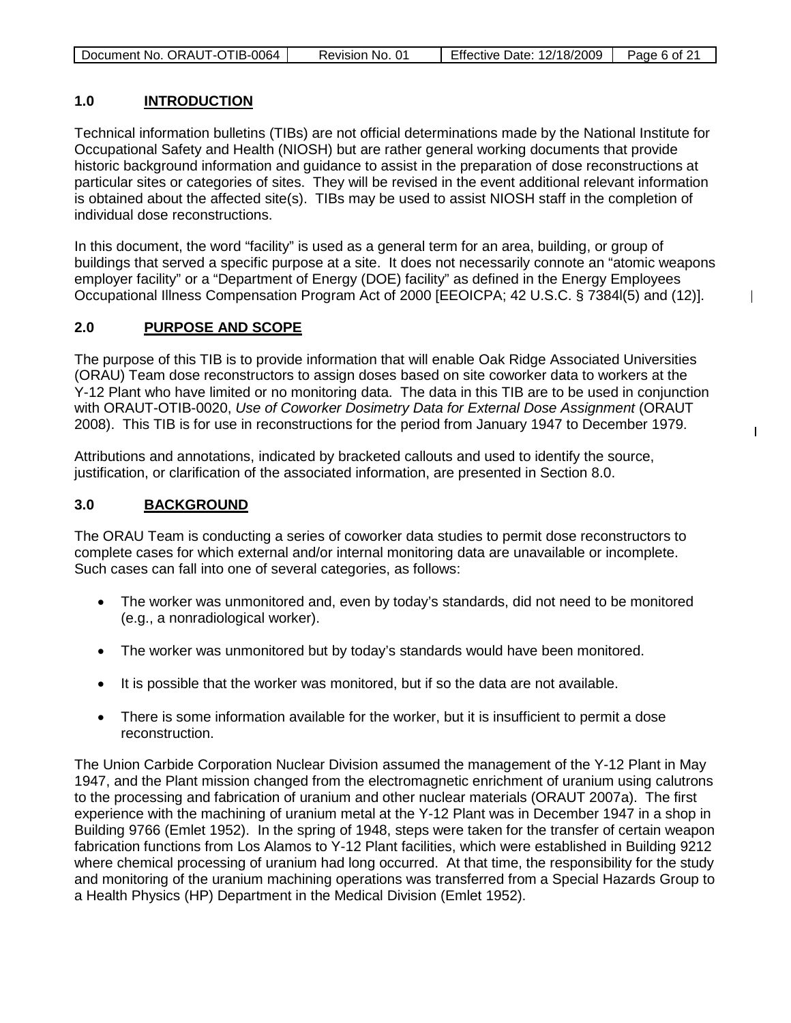| Document No. ORAUT-OTIB-0064 | Revision No. 01 | <b>Effective Date: 12/18/2009</b> | Page 6 of 21 |
|------------------------------|-----------------|-----------------------------------|--------------|
|                              |                 |                                   |              |

### **1.0 INTRODUCTION**

Technical information bulletins (TIBs) are not official determinations made by the National Institute for Occupational Safety and Health (NIOSH) but are rather general working documents that provide historic background information and guidance to assist in the preparation of dose reconstructions at particular sites or categories of sites. They will be revised in the event additional relevant information is obtained about the affected site(s). TIBs may be used to assist NIOSH staff in the completion of individual dose reconstructions.

In this document, the word "facility" is used as a general term for an area, building, or group of buildings that served a specific purpose at a site. It does not necessarily connote an "atomic weapons employer facility" or a "Department of Energy (DOE) facility" as defined in the Energy Employees Occupational Illness Compensation Program Act of 2000 [EEOICPA; 42 U.S.C. § 7384l(5) and (12)].

 $\overline{\phantom{a}}$ 

 $\mathbf{I}$ 

### **2.0 PURPOSE AND SCOPE**

The purpose of this TIB is to provide information that will enable Oak Ridge Associated Universities (ORAU) Team dose reconstructors to assign doses based on site coworker data to workers at the Y-12 Plant who have limited or no monitoring data. The data in this TIB are to be used in conjunction with ORAUT-OTIB-0020, *Use of Coworker Dosimetry Data for External Dose Assignment* (ORAUT 2008). This TIB is for use in reconstructions for the period from January 1947 to December 1979.

Attributions and annotations, indicated by bracketed callouts and used to identify the source, justification, or clarification of the associated information, are presented in Section 8.0.

#### **3.0 BACKGROUND**

The ORAU Team is conducting a series of coworker data studies to permit dose reconstructors to complete cases for which external and/or internal monitoring data are unavailable or incomplete. Such cases can fall into one of several categories, as follows:

- The worker was unmonitored and, even by today's standards, did not need to be monitored (e.g., a nonradiological worker).
- The worker was unmonitored but by today's standards would have been monitored.
- It is possible that the worker was monitored, but if so the data are not available.
- There is some information available for the worker, but it is insufficient to permit a dose reconstruction.

The Union Carbide Corporation Nuclear Division assumed the management of the Y-12 Plant in May 1947, and the Plant mission changed from the electromagnetic enrichment of uranium using calutrons to the processing and fabrication of uranium and other nuclear materials (ORAUT 2007a). The first experience with the machining of uranium metal at the Y-12 Plant was in December 1947 in a shop in Building 9766 (Emlet 1952). In the spring of 1948, steps were taken for the transfer of certain weapon fabrication functions from Los Alamos to Y-12 Plant facilities, which were established in Building 9212 where chemical processing of uranium had long occurred. At that time, the responsibility for the study and monitoring of the uranium machining operations was transferred from a Special Hazards Group to a Health Physics (HP) Department in the Medical Division (Emlet 1952).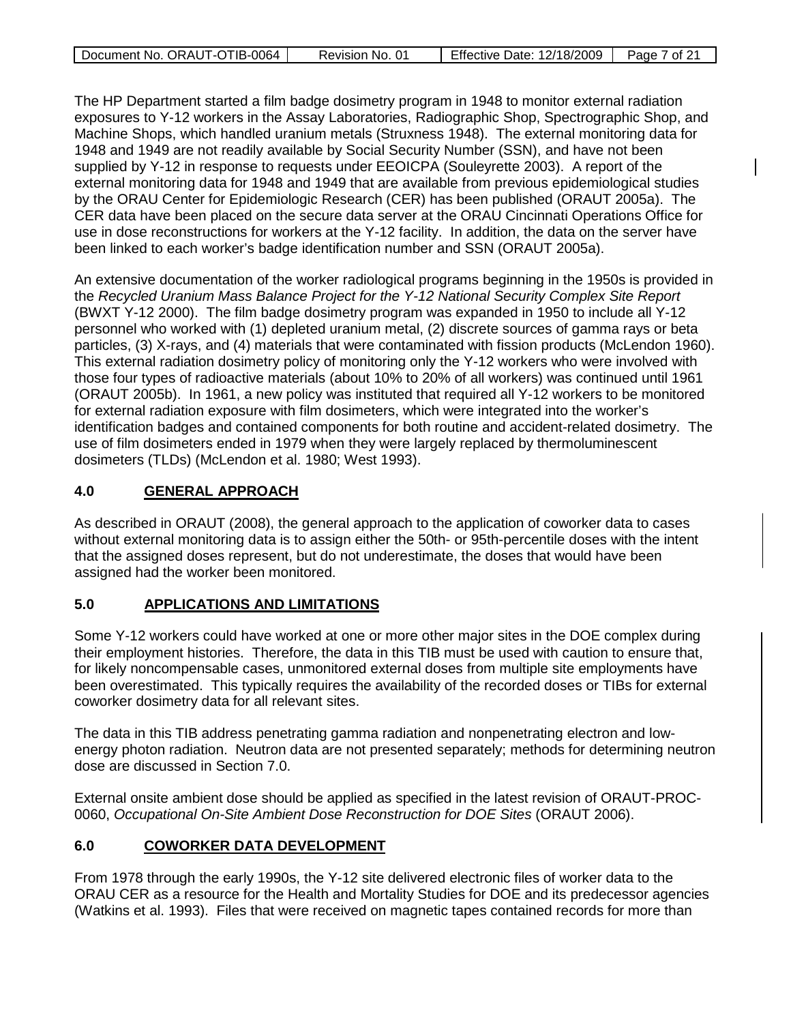| Document No. ORAUT-OTIB-0064 | Revision No. 01 | Effective Date: 12/18/2009   Page 7 of 21 |  |
|------------------------------|-----------------|-------------------------------------------|--|

The HP Department started a film badge dosimetry program in 1948 to monitor external radiation exposures to Y-12 workers in the Assay Laboratories, Radiographic Shop, Spectrographic Shop, and Machine Shops, which handled uranium metals (Struxness 1948). The external monitoring data for 1948 and 1949 are not readily available by Social Security Number (SSN), and have not been supplied by Y-12 in response to requests under EEOICPA (Souleyrette 2003). A report of the external monitoring data for 1948 and 1949 that are available from previous epidemiological studies by the ORAU Center for Epidemiologic Research (CER) has been published (ORAUT 2005a). The CER data have been placed on the secure data server at the ORAU Cincinnati Operations Office for use in dose reconstructions for workers at the Y-12 facility. In addition, the data on the server have been linked to each worker's badge identification number and SSN (ORAUT 2005a).

An extensive documentation of the worker radiological programs beginning in the 1950s is provided in the *Recycled Uranium Mass Balance Project for the Y-12 National Security Complex Site Report* (BWXT Y-12 2000). The film badge dosimetry program was expanded in 1950 to include all Y-12 personnel who worked with (1) depleted uranium metal, (2) discrete sources of gamma rays or beta particles, (3) X-rays, and (4) materials that were contaminated with fission products (McLendon 1960). This external radiation dosimetry policy of monitoring only the Y-12 workers who were involved with those four types of radioactive materials (about 10% to 20% of all workers) was continued until 1961 (ORAUT 2005b). In 1961, a new policy was instituted that required all Y-12 workers to be monitored for external radiation exposure with film dosimeters, which were integrated into the worker's identification badges and contained components for both routine and accident-related dosimetry. The use of film dosimeters ended in 1979 when they were largely replaced by thermoluminescent dosimeters (TLDs) (McLendon et al. 1980; West 1993).

### **4.0 GENERAL APPROACH**

As described in ORAUT (2008), the general approach to the application of coworker data to cases without external monitoring data is to assign either the 50th- or 95th-percentile doses with the intent that the assigned doses represent, but do not underestimate, the doses that would have been assigned had the worker been monitored.

#### **5.0 APPLICATIONS AND LIMITATIONS**

Some Y-12 workers could have worked at one or more other major sites in the DOE complex during their employment histories. Therefore, the data in this TIB must be used with caution to ensure that, for likely noncompensable cases, unmonitored external doses from multiple site employments have been overestimated. This typically requires the availability of the recorded doses or TIBs for external coworker dosimetry data for all relevant sites.

The data in this TIB address penetrating gamma radiation and nonpenetrating electron and lowenergy photon radiation. Neutron data are not presented separately; methods for determining neutron dose are discussed in Section 7.0.

External onsite ambient dose should be applied as specified in the latest revision of ORAUT-PROC-0060, *Occupational On-Site Ambient Dose Reconstruction for DOE Sites* (ORAUT 2006).

### **6.0 COWORKER DATA DEVELOPMENT**

From 1978 through the early 1990s, the Y-12 site delivered electronic files of worker data to the ORAU CER as a resource for the Health and Mortality Studies for DOE and its predecessor agencies (Watkins et al. 1993). Files that were received on magnetic tapes contained records for more than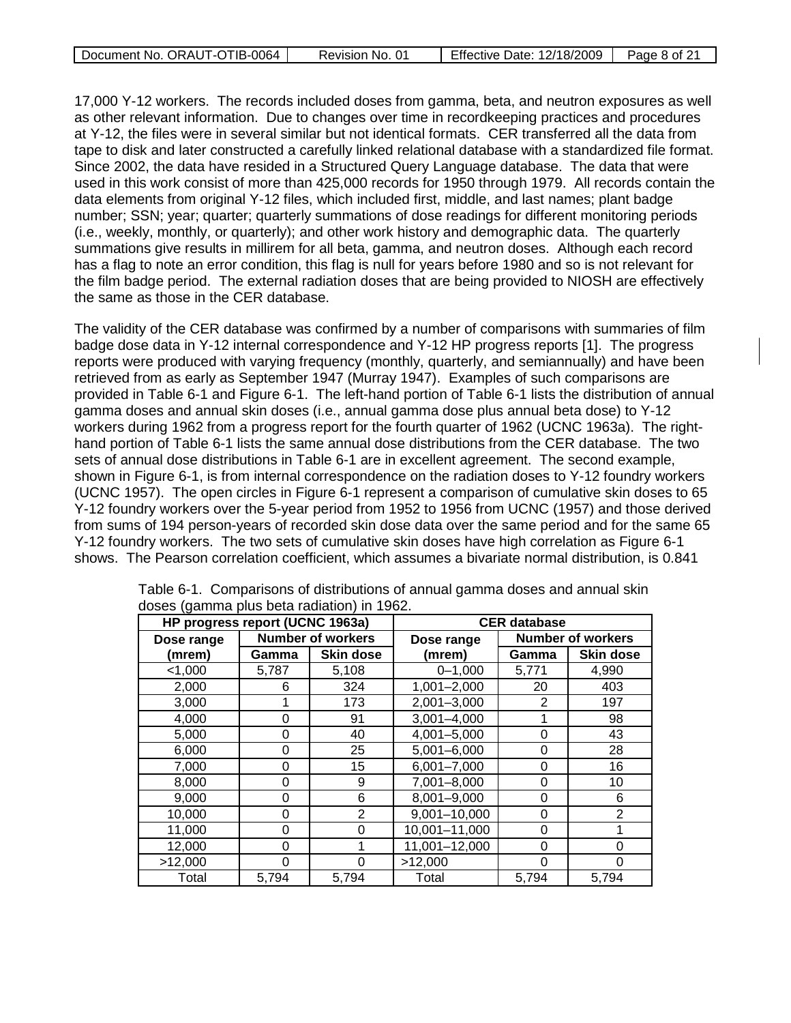| Document No. ORAUT-OTIB-0064 | Revision No. 01 | <b>Effective Date: 12/18/2009</b> | Page 8 of 21 |
|------------------------------|-----------------|-----------------------------------|--------------|
|                              |                 |                                   |              |

17,000 Y-12 workers. The records included doses from gamma, beta, and neutron exposures as well as other relevant information. Due to changes over time in recordkeeping practices and procedures at Y-12, the files were in several similar but not identical formats. CER transferred all the data from tape to disk and later constructed a carefully linked relational database with a standardized file format. Since 2002, the data have resided in a Structured Query Language database. The data that were used in this work consist of more than 425,000 records for 1950 through 1979. All records contain the data elements from original Y-12 files, which included first, middle, and last names; plant badge number; SSN; year; quarter; quarterly summations of dose readings for different monitoring periods (i.e., weekly, monthly, or quarterly); and other work history and demographic data. The quarterly summations give results in millirem for all beta, gamma, and neutron doses. Although each record has a flag to note an error condition, this flag is null for years before 1980 and so is not relevant for the film badge period. The external radiation doses that are being provided to NIOSH are effectively the same as those in the CER database.

The validity of the CER database was confirmed by a number of comparisons with summaries of film badge dose data in Y-12 internal correspondence and Y-12 HP progress reports [1]. The progress reports were produced with varying frequency (monthly, quarterly, and semiannually) and have been retrieved from as early as September 1947 (Murray 1947). Examples of such comparisons are provided in Table 6-1 and Figure 6-1. The left-hand portion of Table 6-1 lists the distribution of annual gamma doses and annual skin doses (i.e., annual gamma dose plus annual beta dose) to Y-12 workers during 1962 from a progress report for the fourth quarter of 1962 (UCNC 1963a). The righthand portion of Table 6-1 lists the same annual dose distributions from the CER database. The two sets of annual dose distributions in Table 6-1 are in excellent agreement. The second example, shown in Figure 6-1, is from internal correspondence on the radiation doses to Y-12 foundry workers (UCNC 1957). The open circles in Figure 6-1 represent a comparison of cumulative skin doses to 65 Y-12 foundry workers over the 5-year period from 1952 to 1956 from UCNC (1957) and those derived from sums of 194 person-years of recorded skin dose data over the same period and for the same 65 Y-12 foundry workers. The two sets of cumulative skin doses have high correlation as Figure 6-1 shows. The Pearson correlation coefficient, which assumes a bivariate normal distribution, is 0.841

| HP progress report (UCNC 1963a) |          |                          |                 | <b>CER</b> database |                          |
|---------------------------------|----------|--------------------------|-----------------|---------------------|--------------------------|
| Dose range                      |          | <b>Number of workers</b> | Dose range      |                     | <b>Number of workers</b> |
| (mrem)                          | Gamma    | <b>Skin dose</b>         | (mrem)          | Gamma               | Skin dose                |
| < 1,000                         | 5,787    | 5,108                    | $0 - 1,000$     | 5,771               | 4,990                    |
| 2,000                           | 6        | 324                      | $1,001 - 2,000$ | 20                  | 403                      |
| 3,000                           |          | 173                      | 2,001-3,000     | 2                   | 197                      |
| 4,000                           | 0        | 91                       | $3,001 - 4,000$ |                     | 98                       |
| 5,000                           | 0        | 40                       | 4,001-5,000     | 0                   | 43                       |
| 6,000                           | $\Omega$ | 25                       | 5,001-6,000     | 0                   | 28                       |
| 7,000                           | 0        | 15                       | $6,001 - 7,000$ | 0                   | 16                       |
| 8,000                           | 0        | 9                        | 7,001-8,000     | $\Omega$            | 10                       |
| 9,000                           | 0        | 6                        | 8,001-9,000     | 0                   | 6                        |
| 10,000                          | 0        | 2                        | 9,001-10,000    | 0                   | 2                        |
| 11,000                          | 0        | 0                        | 10,001-11,000   | $\Omega$            |                          |
| 12,000                          | $\Omega$ |                          | 11,001-12,000   | $\Omega$            | 0                        |
| >12,000                         | 0        | ∩                        | >12,000         | 0                   | 0                        |
| Total                           | 5,794    | 5,794                    | Total           | 5,794               | 5,794                    |

Table 6-1. Comparisons of distributions of annual gamma doses and annual skin doses (gamma plus beta radiation) in 1962.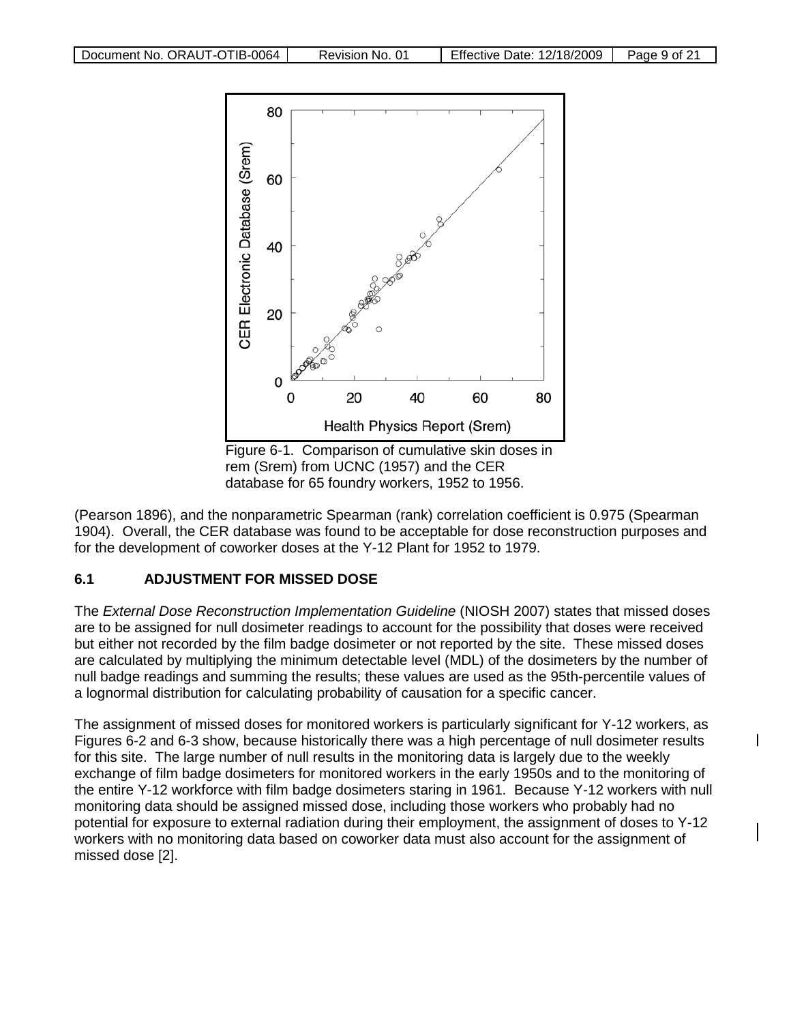

Figure 6-1. Comparison of cumulative skin doses in rem (Srem) from UCNC (1957) and the CER database for 65 foundry workers, 1952 to 1956.

(Pearson 1896), and the nonparametric Spearman (rank) correlation coefficient is 0.975 (Spearman 1904). Overall, the CER database was found to be acceptable for dose reconstruction purposes and for the development of coworker doses at the Y-12 Plant for 1952 to 1979.

### **6.1 ADJUSTMENT FOR MISSED DOSE**

The *External Dose Reconstruction Implementation Guideline* (NIOSH 2007) states that missed doses are to be assigned for null dosimeter readings to account for the possibility that doses were received but either not recorded by the film badge dosimeter or not reported by the site. These missed doses are calculated by multiplying the minimum detectable level (MDL) of the dosimeters by the number of null badge readings and summing the results; these values are used as the 95th-percentile values of a lognormal distribution for calculating probability of causation for a specific cancer.

The assignment of missed doses for monitored workers is particularly significant for Y-12 workers, as Figures 6-2 and 6-3 show, because historically there was a high percentage of null dosimeter results for this site. The large number of null results in the monitoring data is largely due to the weekly exchange of film badge dosimeters for monitored workers in the early 1950s and to the monitoring of the entire Y-12 workforce with film badge dosimeters staring in 1961. Because Y-12 workers with null monitoring data should be assigned missed dose, including those workers who probably had no potential for exposure to external radiation during their employment, the assignment of doses to Y-12 workers with no monitoring data based on coworker data must also account for the assignment of missed dose [2].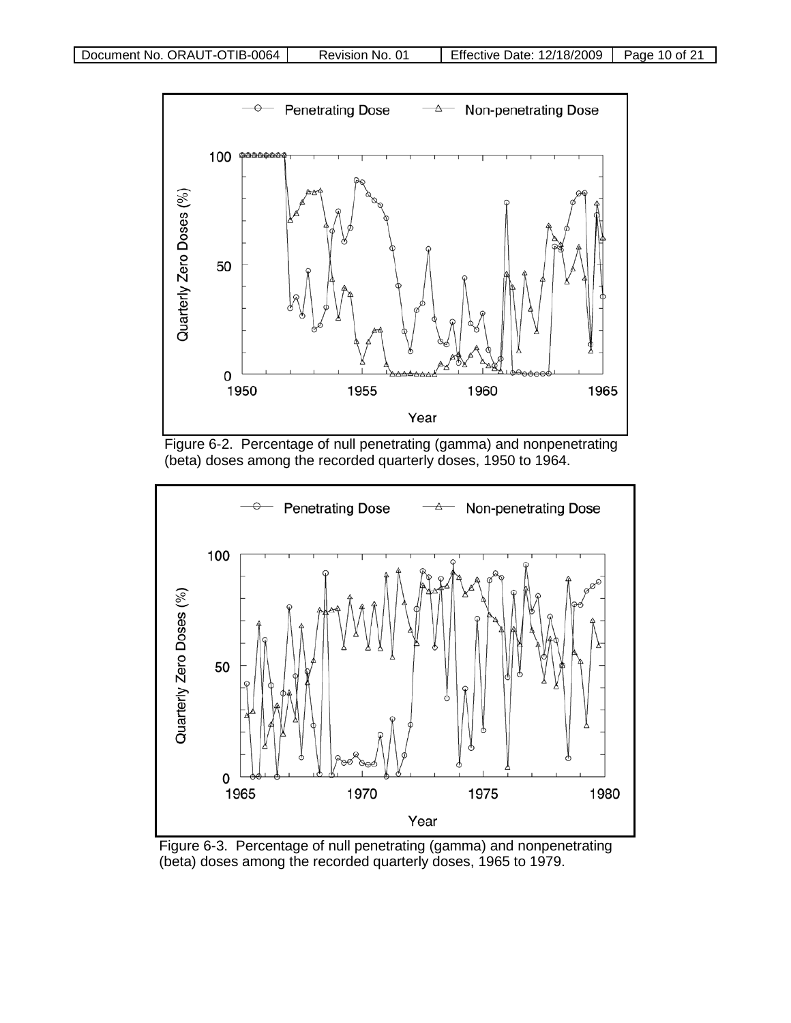





Figure 6-3. Percentage of null penetrating (gamma) and nonpenetrating (beta) doses among the recorded quarterly doses, 1965 to 1979.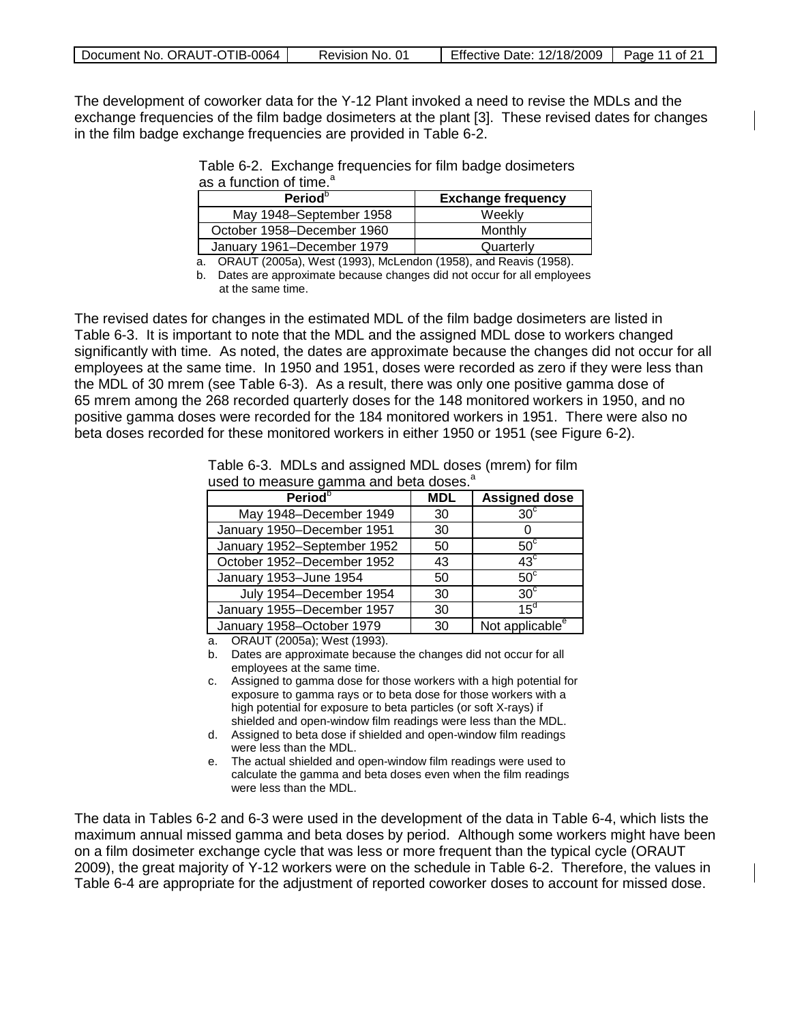| Document No. ORAUT-OTIB-0064 | Revision No. 01 | <b>Effective Date: 12/18/2009</b> | Page 11 of 21 |
|------------------------------|-----------------|-----------------------------------|---------------|
|------------------------------|-----------------|-----------------------------------|---------------|

The development of coworker data for the Y-12 Plant invoked a need to revise the MDLs and the exchange frequencies of the film badge dosimeters at the plant [3]. These revised dates for changes in the film badge exchange frequencies are provided in Table 6-2.

| Table 6-2. Exchange frequencies for film badge dosimeters |  |  |  |
|-----------------------------------------------------------|--|--|--|
| as a function of time. <sup>a</sup>                       |  |  |  |
|                                                           |  |  |  |

| Period <sup>o</sup>        | <b>Exchange frequency</b> |
|----------------------------|---------------------------|
| May 1948-September 1958    | Weekly                    |
| October 1958–December 1960 | Monthly                   |
| January 1961-December 1979 | Quarterly                 |

a. ORAUT (2005a), West (1993), McLendon (1958), and Reavis (1958).

b. Dates are approximate because changes did not occur for all employees at the same time.

The revised dates for changes in the estimated MDL of the film badge dosimeters are listed in Table 6-3. It is important to note that the MDL and the assigned MDL dose to workers changed significantly with time. As noted, the dates are approximate because the changes did not occur for all employees at the same time. In 1950 and 1951, doses were recorded as zero if they were less than the MDL of 30 mrem (see Table 6-3). As a result, there was only one positive gamma dose of 65 mrem among the 268 recorded quarterly doses for the 148 monitored workers in 1950, and no positive gamma doses were recorded for the 184 monitored workers in 1951. There were also no beta doses recorded for these monitored workers in either 1950 or 1951 (see Figure 6-2).

> Table 6-3. MDLs and assigned MDL doses (mrem) for film used to measure gamma and beta doses.<sup>a</sup>

| <b>Period</b> <sup>b</sup>  | <b>MDL</b> | <b>Assigned dose</b>        |
|-----------------------------|------------|-----------------------------|
| May 1948-December 1949      | 30         | $30^\circ$                  |
| January 1950-December 1951  | 30         |                             |
| January 1952-September 1952 | 50         | $50^{\circ}$                |
| October 1952-December 1952  | 43         | $43^{\circ}$                |
| January 1953-June 1954      | 50         | $50^{\circ}$                |
| July 1954-December 1954     | 30         | 30 <sup>c</sup>             |
| January 1955-December 1957  | 30         | $15^d$                      |
| January 1958-October 1979   | 30         | Not applicable <sup>e</sup> |

a. ORAUT (2005a); West (1993).

- b. Dates are approximate because the changes did not occur for all employees at the same time.
- c. Assigned to gamma dose for those workers with a high potential for exposure to gamma rays or to beta dose for those workers with a high potential for exposure to beta particles (or soft X-rays) if shielded and open-window film readings were less than the MDL.
- d. Assigned to beta dose if shielded and open-window film readings were less than the MDL.
- e. The actual shielded and open-window film readings were used to calculate the gamma and beta doses even when the film readings were less than the MDL.

The data in Tables 6-2 and 6-3 were used in the development of the data in Table 6-4, which lists the maximum annual missed gamma and beta doses by period. Although some workers might have been on a film dosimeter exchange cycle that was less or more frequent than the typical cycle (ORAUT 2009), the great majority of Y-12 workers were on the schedule in Table 6-2. Therefore, the values in Table 6-4 are appropriate for the adjustment of reported coworker doses to account for missed dose.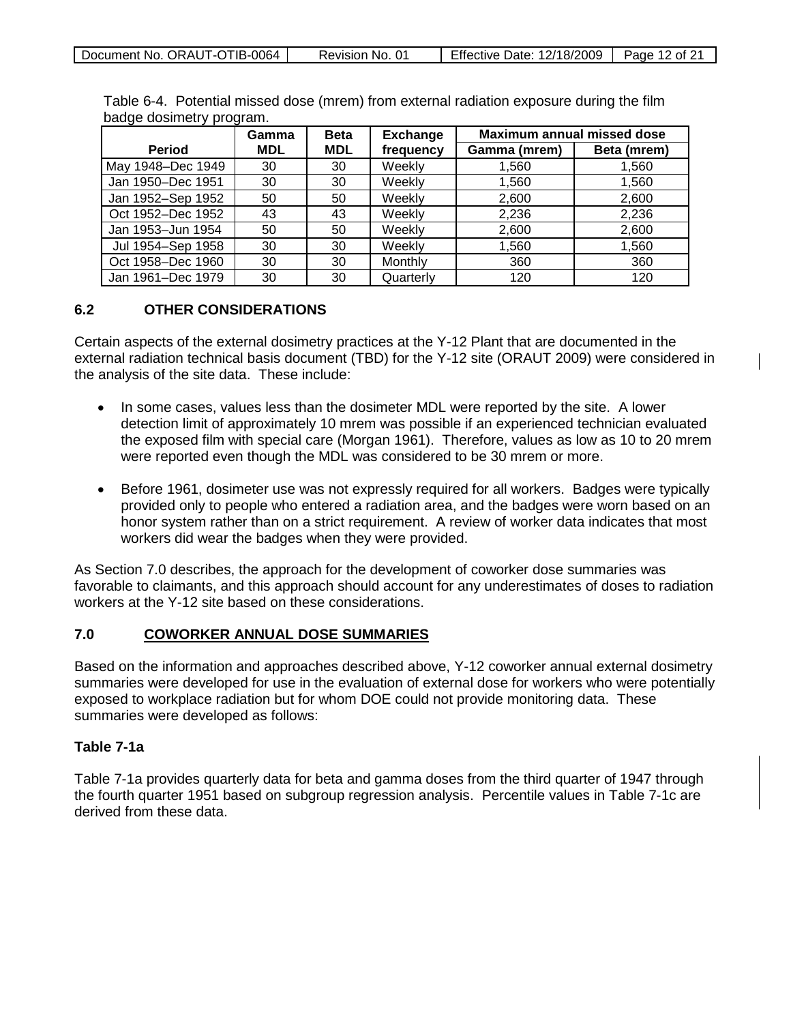| Document No. ORAUT-OTIB-0064 | Revision No. 01 | Effective Date: 12/18/2009 | Page 12 of 21 |
|------------------------------|-----------------|----------------------------|---------------|
|------------------------------|-----------------|----------------------------|---------------|

| Table 6-4. Potential missed dose (mrem) from external radiation exposure during the film |  |  |  |
|------------------------------------------------------------------------------------------|--|--|--|
| badge dosimetry program.                                                                 |  |  |  |

|                   | Gamma      | <b>Beta</b> | <b>Exchange</b> | <b>Maximum annual missed dose</b> |             |
|-------------------|------------|-------------|-----------------|-----------------------------------|-------------|
| <b>Period</b>     | <b>MDL</b> | <b>MDL</b>  | frequency       | Gamma (mrem)                      | Beta (mrem) |
| May 1948-Dec 1949 | 30         | 30          | Weekly          | 1,560                             | 1,560       |
| Jan 1950-Dec 1951 | 30         | 30          | Weekly          | 1,560                             | 1,560       |
| Jan 1952-Sep 1952 | 50         | 50          | Weekly          | 2,600                             | 2,600       |
| Oct 1952-Dec 1952 | 43         | 43          | Weekly          | 2,236                             | 2,236       |
| Jan 1953-Jun 1954 | 50         | 50          | Weekly          | 2,600                             | 2,600       |
| Jul 1954-Sep 1958 | 30         | 30          | Weekly          | 1,560                             | 1,560       |
| Oct 1958-Dec 1960 | 30         | 30          | Monthly         | 360                               | 360         |
| Jan 1961-Dec 1979 | 30         | 30          | Quarterly       | 120                               | 120         |

### **6.2 OTHER CONSIDERATIONS**

Certain aspects of the external dosimetry practices at the Y-12 Plant that are documented in the external radiation technical basis document (TBD) for the Y-12 site (ORAUT 2009) were considered in the analysis of the site data. These include:

- In some cases, values less than the dosimeter MDL were reported by the site. A lower detection limit of approximately 10 mrem was possible if an experienced technician evaluated the exposed film with special care (Morgan 1961). Therefore, values as low as 10 to 20 mrem were reported even though the MDL was considered to be 30 mrem or more.
- Before 1961, dosimeter use was not expressly required for all workers. Badges were typically provided only to people who entered a radiation area, and the badges were worn based on an honor system rather than on a strict requirement. A review of worker data indicates that most workers did wear the badges when they were provided.

As Section 7.0 describes, the approach for the development of coworker dose summaries was favorable to claimants, and this approach should account for any underestimates of doses to radiation workers at the Y-12 site based on these considerations.

#### **7.0 COWORKER ANNUAL DOSE SUMMARIES**

Based on the information and approaches described above, Y-12 coworker annual external dosimetry summaries were developed for use in the evaluation of external dose for workers who were potentially exposed to workplace radiation but for whom DOE could not provide monitoring data. These summaries were developed as follows:

### **Table 7-1a**

Table 7-1a provides quarterly data for beta and gamma doses from the third quarter of 1947 through the fourth quarter 1951 based on subgroup regression analysis. Percentile values in Table 7-1c are derived from these data.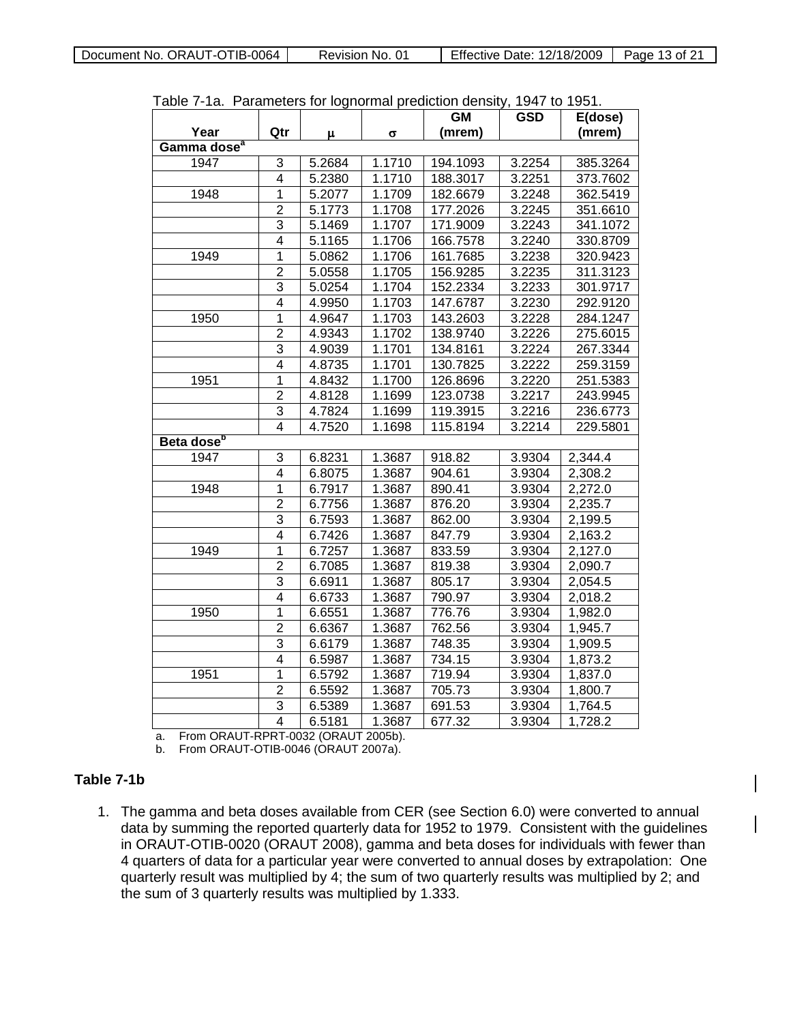Document No. ORAUT-OTIB-0064 Revision No. 01 Fffective Date: 12/18/2009 Page 13 of 21

| i uviv                  |                |                     |        | id. I didinctore for lognomial prodiction density<br><b>GM</b> | 19T1W<br><b>GSD</b> | .<br>E(dose) |
|-------------------------|----------------|---------------------|--------|----------------------------------------------------------------|---------------------|--------------|
| Year                    | Qtr            | μ                   | σ      | (mrem)                                                         |                     | (mrem)       |
| Gamma dose <sup>a</sup> |                |                     |        |                                                                |                     |              |
| 1947                    | 3              | 5.2684              | 1.1710 | 194.1093                                                       | 3.2254              | 385.3264     |
|                         | 4              | 5.2380              | 1.1710 | 188.3017                                                       | 3.2251              | 373.7602     |
| 1948                    | $\overline{1}$ | 5.2077              | 1.1709 | 182.6679                                                       | 3.2248              | 362.5419     |
|                         | $\overline{2}$ | 5.1773              | 1.1708 | 177.2026                                                       | 3.2245              | 351.6610     |
|                         | $\overline{3}$ | 5.1469              | 1.1707 | 171.9009                                                       | 3.2243              | 341.1072     |
|                         | 4              | 5.1165              | 1.1706 | 166.7578                                                       | 3.2240              | 330.8709     |
| 1949                    | $\overline{1}$ | 5.0862              | 1.1706 | 161.7685                                                       | 3.2238              | 320.9423     |
|                         | $\overline{2}$ | 5.0558              | 1.1705 | 156.9285                                                       | 3.2235              | 311.3123     |
|                         | 3              | $5.025\overline{4}$ | 1.1704 | 152.2334                                                       | 3.2233              | 301.9717     |
|                         | 4              | 4.9950              | 1.1703 | 147.6787                                                       | 3.2230              | 292.9120     |
| 1950                    | $\overline{1}$ | 4.9647              | 1.1703 | 143.2603                                                       | 3.2228              | 284.1247     |
|                         | $\overline{2}$ | 4.9343              | 1.1702 | 138.9740                                                       | 3.2226              | 275.6015     |
|                         | 3              | 4.9039              | 1.1701 | 134.8161                                                       | 3.2224              | 267.3344     |
|                         | $\overline{4}$ | 4.8735              | 1.1701 | 130.7825                                                       | 3.2222              | 259.3159     |
| 1951                    | $\overline{1}$ | 4.8432              | 1.1700 | 126.8696                                                       | 3.2220              | 251.5383     |
|                         | $\overline{2}$ | 4.8128              | 1.1699 | 123.0738                                                       | 3.2217              | 243.9945     |
|                         | 3              | 4.7824              | 1.1699 | 119.3915                                                       | 3.2216              | 236.6773     |
|                         | $\overline{4}$ | 4.7520              | 1.1698 | 115.8194                                                       | 3.2214              | 229.5801     |
| Beta dose <sup>b</sup>  |                |                     |        |                                                                |                     |              |
| 1947                    | 3              | 6.8231              | 1.3687 | 918.82                                                         | 3.9304              | 2,344.4      |
|                         | 4              | 6.8075              | 1.3687 | 904.61                                                         | 3.9304              | 2,308.2      |
| 1948                    | $\overline{1}$ | 6.7917              | 1.3687 | 890.41                                                         | 3.9304              | 2,272.0      |
|                         | $\overline{2}$ | 6.7756              | 1.3687 | 876.20                                                         | 3.9304              | 2,235.7      |
|                         | 3              | 6.7593              | 1.3687 | 862.00                                                         | 3.9304              | 2,199.5      |
|                         | $\overline{4}$ | 6.7426              | 1.3687 | 847.79                                                         | 3.9304              | 2,163.2      |
| 1949                    | $\overline{1}$ | 6.7257              | 1.3687 | 833.59                                                         | 3.9304              | 2,127.0      |
|                         | $\overline{c}$ | 6.7085              | 1.3687 | 819.38                                                         | 3.9304              | 2,090.7      |
|                         | $\overline{3}$ | 6.6911              | 1.3687 | 805.17                                                         | 3.9304              | 2,054.5      |
|                         | $\overline{4}$ | 6.6733              | 1.3687 | 790.97                                                         | 3.9304              | 2,018.2      |
| 1950                    | 1              | 6.6551              | 1.3687 | 776.76                                                         | 3.9304              | 1,982.0      |
|                         | $\overline{2}$ | 6.6367              | 1.3687 | 762.56                                                         | 3.9304              | 1,945.7      |
|                         | $\overline{3}$ | 6.6179              | 1.3687 | 748.35                                                         | 3.9304              | 1,909.5      |
|                         | 4              | 6.5987              | 1.3687 | 734.15                                                         | 3.9304              | 1,873.2      |
| 1951                    | 1              | 6.5792              | 1.3687 | 719.94                                                         | 3.9304              | 1,837.0      |
|                         | $\overline{2}$ | 6.5592              | 1.3687 | 705.73                                                         | 3.9304              | 1,800.7      |
|                         | $\overline{3}$ | 6.5389              | 1.3687 | 691.53                                                         | 3.9304              | 1,764.5      |
|                         | $\overline{4}$ | 6.5181              | 1.3687 | 677.32                                                         | 3.9304              | 1,728.2      |

Table 7-1a. Parameters for lognormal prediction density, 1947 to 1951.

a. From ORAUT-RPRT-0032 (ORAUT 2005b).

b. From ORAUT-OTIB-0046 (ORAUT 2007a).

### **Table 7-1b**

1. The gamma and beta doses available from CER (see Section 6.0) were converted to annual data by summing the reported quarterly data for 1952 to 1979. Consistent with the guidelines in ORAUT-OTIB-0020 (ORAUT 2008), gamma and beta doses for individuals with fewer than 4 quarters of data for a particular year were converted to annual doses by extrapolation: One quarterly result was multiplied by 4; the sum of two quarterly results was multiplied by 2; and the sum of 3 quarterly results was multiplied by 1.333.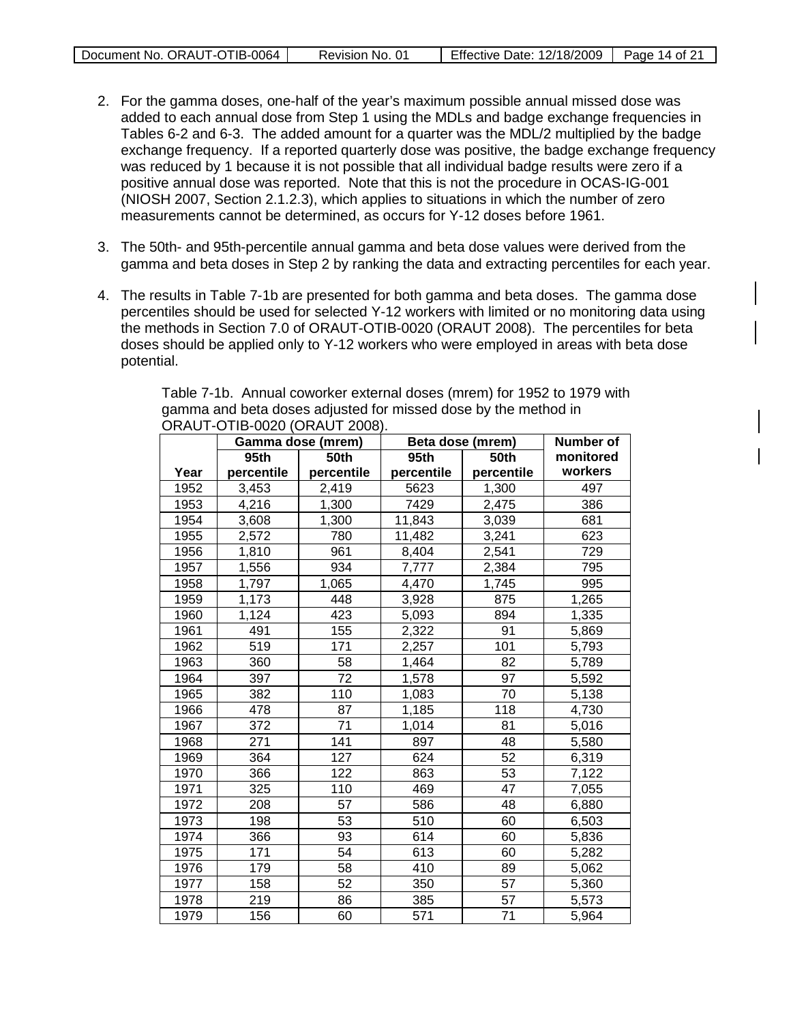| Document No. ORAUT-OTIB-0064 | Revision No. 01 | Effective Date: 12/18/2009 | Page 14 of 21 |
|------------------------------|-----------------|----------------------------|---------------|
|                              |                 |                            |               |

- 2. For the gamma doses, one-half of the year's maximum possible annual missed dose was added to each annual dose from Step 1 using the MDLs and badge exchange frequencies in Tables 6-2 and 6-3. The added amount for a quarter was the MDL/2 multiplied by the badge exchange frequency. If a reported quarterly dose was positive, the badge exchange frequency was reduced by 1 because it is not possible that all individual badge results were zero if a positive annual dose was reported. Note that this is not the procedure in OCAS-IG-001 (NIOSH 2007, Section 2.1.2.3), which applies to situations in which the number of zero measurements cannot be determined, as occurs for Y-12 doses before 1961.
- 3. The 50th- and 95th-percentile annual gamma and beta dose values were derived from the gamma and beta doses in Step 2 by ranking the data and extracting percentiles for each year.
- 4. The results in Table 7-1b are presented for both gamma and beta doses. The gamma dose percentiles should be used for selected Y-12 workers with limited or no monitoring data using the methods in Section 7.0 of ORAUT-OTIB-0020 (ORAUT 2008). The percentiles for beta doses should be applied only to Y-12 workers who were employed in areas with beta dose potential.

|      | 00001-011D-0020 (01\A01 2000). | Gamma dose (mrem) |            | Beta dose (mrem) | Number of |
|------|--------------------------------|-------------------|------------|------------------|-----------|
|      | 95th                           | <b>50th</b>       | 95th       | <b>50th</b>      | monitored |
| Year | percentile                     | percentile        | percentile | percentile       | workers   |
| 1952 | 3,453                          | 2,419             | 5623       | 1,300            | 497       |
| 1953 | 4,216                          | 1,300             | 7429       | 2,475            | 386       |
| 1954 | 3,608                          | 1,300             | 11,843     | 3,039            | 681       |
| 1955 | 2,572                          | 780               | 11,482     | 3,241            | 623       |
| 1956 | 1,810                          | 961               | 8,404      | 2,541            | 729       |
| 1957 | 1,556                          | 934               | 7,777      | 2,384            | 795       |
| 1958 | 1,797                          | 1,065             | 4,470      | 1,745            | 995       |
| 1959 | 1,173                          | 448               | 3,928      | 875              | 1,265     |
| 1960 | 1,124                          | 423               | 5,093      | 894              | 1,335     |
| 1961 | 491                            | 155               | 2,322      | 91               | 5,869     |
| 1962 | 519                            | 171               | 2,257      | 101              | 5,793     |
| 1963 | 360                            | 58                | 1,464      | 82               | 5,789     |
| 1964 | 397                            | 72                | 1,578      | 97               | 5,592     |
| 1965 | 382                            | 110               | 1,083      | 70               | 5,138     |
| 1966 | 478                            | 87                | 1,185      | 118              | 4,730     |
| 1967 | 372                            | 71                | 1,014      | 81               | 5,016     |
| 1968 | 271                            | 141               | 897        | 48               | 5,580     |
| 1969 | 364                            | 127               | 624        | 52               | 6,319     |
| 1970 | 366                            | 122               | 863        | 53               | 7,122     |
| 1971 | 325                            | 110               | 469        | 47               | 7,055     |
| 1972 | 208                            | 57                | 586        | 48               | 6,880     |
| 1973 | 198                            | 53                | 510        | 60               | 6,503     |
| 1974 | 366                            | 93                | 614        | 60               | 5,836     |
| 1975 | 171                            | 54                | 613        | 60               | 5,282     |
| 1976 | 179                            | 58                | 410        | 89               | 5,062     |
| 1977 | 158                            | 52                | 350        | 57               | 5,360     |
| 1978 | 219                            | 86                | 385        | 57               | 5,573     |
| 1979 | 156                            | 60                | 571        | 71               | 5,964     |

Table 7-1b. Annual coworker external doses (mrem) for 1952 to 1979 with gamma and beta doses adjusted for missed dose by the method in ORAUT-OTIB-0020 (ORAUT 2008).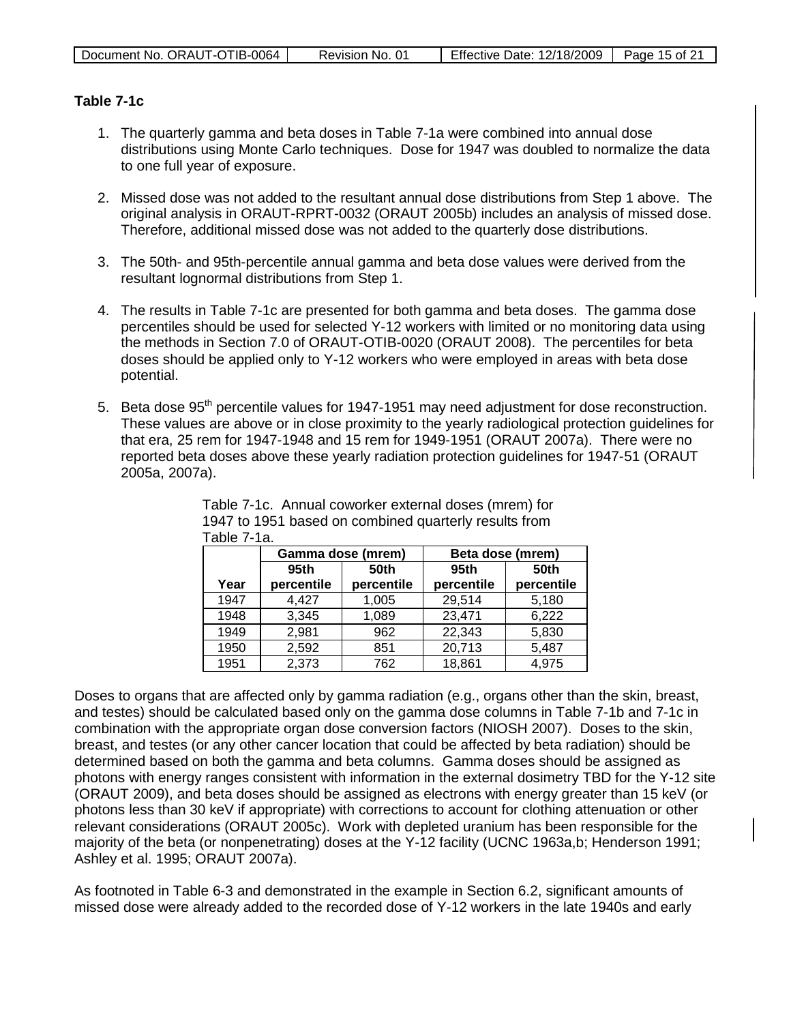| Effective Date: 12/18/2009<br>Document No. ORAUT-OTIB-0064  <br>Page 15 of $21$<br>Revision No. 01 |
|----------------------------------------------------------------------------------------------------|
|----------------------------------------------------------------------------------------------------|

### **Table 7-1c**

- 1. The quarterly gamma and beta doses in Table 7-1a were combined into annual dose distributions using Monte Carlo techniques. Dose for 1947 was doubled to normalize the data to one full year of exposure.
- 2. Missed dose was not added to the resultant annual dose distributions from Step 1 above. The original analysis in ORAUT-RPRT-0032 (ORAUT 2005b) includes an analysis of missed dose. Therefore, additional missed dose was not added to the quarterly dose distributions.
- 3. The 50th- and 95th-percentile annual gamma and beta dose values were derived from the resultant lognormal distributions from Step 1.
- 4. The results in Table 7-1c are presented for both gamma and beta doses. The gamma dose percentiles should be used for selected Y-12 workers with limited or no monitoring data using the methods in Section 7.0 of ORAUT-OTIB-0020 (ORAUT 2008). The percentiles for beta doses should be applied only to Y-12 workers who were employed in areas with beta dose potential.
- 5. Beta dose  $95<sup>th</sup>$  percentile values for 1947-1951 may need adjustment for dose reconstruction. These values are above or in close proximity to the yearly radiological protection guidelines for that era, 25 rem for 1947-1948 and 15 rem for 1949-1951 (ORAUT 2007a). There were no reported beta doses above these yearly radiation protection guidelines for 1947-51 (ORAUT 2005a, 2007a).

|      | Gamma dose (mrem) |             | Beta dose (mrem) |             |
|------|-------------------|-------------|------------------|-------------|
|      | 95th              | <b>50th</b> | 95th             | <b>50th</b> |
| Year | percentile        | percentile  | percentile       | percentile  |
| 1947 | 4,427             | 1,005       | 29,514           | 5,180       |
| 1948 | 3,345             | 1,089       | 23,471           | 6,222       |
| 1949 | 2,981             | 962         | 22,343           | 5,830       |
| 1950 | 2,592             | 851         | 20,713           | 5,487       |
| 1951 | 2,373             | 762         | 18,861           | 4,975       |

Table 7-1c. Annual coworker external doses (mrem) for 1947 to 1951 based on combined quarterly results from Table 7-1a.

Doses to organs that are affected only by gamma radiation (e.g., organs other than the skin, breast, and testes) should be calculated based only on the gamma dose columns in Table 7-1b and 7-1c in combination with the appropriate organ dose conversion factors (NIOSH 2007). Doses to the skin, breast, and testes (or any other cancer location that could be affected by beta radiation) should be determined based on both the gamma and beta columns. Gamma doses should be assigned as photons with energy ranges consistent with information in the external dosimetry TBD for the Y-12 site (ORAUT 2009), and beta doses should be assigned as electrons with energy greater than 15 keV (or photons less than 30 keV if appropriate) with corrections to account for clothing attenuation or other relevant considerations (ORAUT 2005c). Work with depleted uranium has been responsible for the majority of the beta (or nonpenetrating) doses at the Y-12 facility (UCNC 1963a,b; Henderson 1991; Ashley et al. 1995; ORAUT 2007a).

As footnoted in Table 6-3 and demonstrated in the example in Section 6.2, significant amounts of missed dose were already added to the recorded dose of Y-12 workers in the late 1940s and early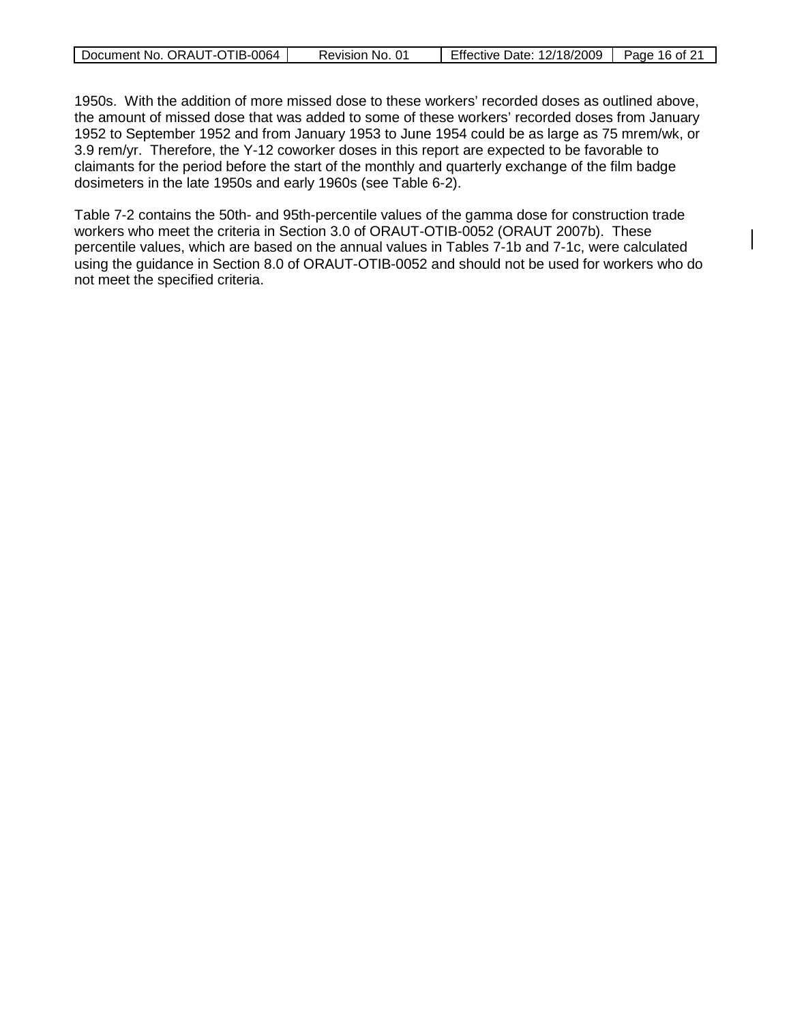| Document No. ORAUT-OTIB-0064 | Revision No. 01 | Effective Date: 12/18/2009   Page 16 of 21 |  |
|------------------------------|-----------------|--------------------------------------------|--|

1950s. With the addition of more missed dose to these workers' recorded doses as outlined above, the amount of missed dose that was added to some of these workers' recorded doses from January 1952 to September 1952 and from January 1953 to June 1954 could be as large as 75 mrem/wk, or 3.9 rem/yr. Therefore, the Y-12 coworker doses in this report are expected to be favorable to claimants for the period before the start of the monthly and quarterly exchange of the film badge dosimeters in the late 1950s and early 1960s (see Table 6-2).

Table 7-2 contains the 50th- and 95th-percentile values of the gamma dose for construction trade workers who meet the criteria in Section 3.0 of ORAUT-OTIB-0052 (ORAUT 2007b). These percentile values, which are based on the annual values in Tables 7-1b and 7-1c, were calculated using the guidance in Section 8.0 of ORAUT-OTIB-0052 and should not be used for workers who do not meet the specified criteria.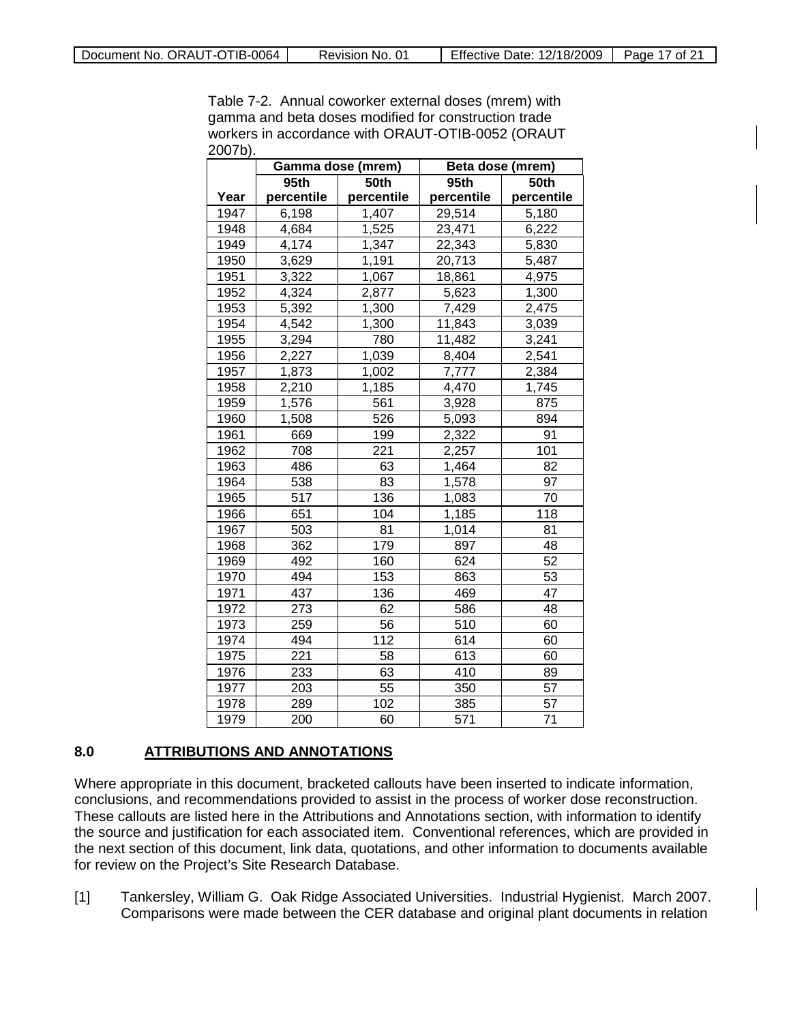Table 7-2. Annual coworker external doses (mrem) with gamma and beta doses modified for construction trade workers in accordance with ORAUT-OTIB-0052 (ORAUT 2007b).

|      | Gamma dose (mrem) |            | Beta dose (mrem) |            |
|------|-------------------|------------|------------------|------------|
|      | 95th              | 50th       | 95th<br>50th     |            |
| Year | percentile        | percentile | percentile       | percentile |
| 1947 | 6,198             | 1,407      | 29,514           | 5,180      |
| 1948 | 4,684             | 1,525      | 23,471           | 6,222      |
| 1949 | 4,174             | 1,347      | 22,343           | 5,830      |
| 1950 | 3,629             | 1,191      | 20,713           | 5,487      |
| 1951 | 3,322             | 1,067      | 18,861           | 4,975      |
| 1952 | 4,324             | 2,877      | 5,623            | 1,300      |
| 1953 | 5,392             | 1,300      | 7,429            | 2,475      |
| 1954 | 4,542             | 1,300      | 11,843           | 3,039      |
| 1955 | 3,294             | 780        | 11,482           | 3,241      |
| 1956 | 2,227             | 1,039      | 8,404            | 2,541      |
| 1957 | 1,873             | 1,002      | 7,777            | 2,384      |
| 1958 | 2,210             | 1,185      | 4,470            | 1,745      |
| 1959 | 1,576             | 561        | 3,928            | 875        |
| 1960 | 1,508             | 526        | 5,093            | 894        |
| 1961 | 669               | 199        | 2,322            | 91         |
| 1962 | 708               | 221        | 2,257            | 101        |
| 1963 | 486               | 63         | 1,464            | 82         |
| 1964 | 538               | 83         | 1,578            | 97         |
| 1965 | 517               | 136        | 1,083            | 70         |
| 1966 | 651               | 104        | 1,185            | 118        |
| 1967 | 503               | 81         | 1,014            | 81         |
| 1968 | 362               | 179        | 897              | 48         |
| 1969 | 492               | 160        | 624              | 52         |
| 1970 | 494               | 153        | 863              | 53         |
| 1971 | 437               | 136        | 469              | 47         |
| 1972 | 273               | 62         | 586              | 48         |
| 1973 | 259               | 56         | 510              | 60         |
| 1974 | 494               | 112        | 614              | 60         |
| 1975 | 221               | 58         | 613              | 60         |
| 1976 | 233               | 63         | 410              | 89         |
| 1977 | 203               | 55         | 350              | 57         |
| 1978 | 289               | 102        | 385              | 57         |
| 1979 | 200               | 60         | 571              | 71         |

#### **8.0 ATTRIBUTIONS AND ANNOTATIONS**

Where appropriate in this document, bracketed callouts have been inserted to indicate information, conclusions, and recommendations provided to assist in the process of worker dose reconstruction. These callouts are listed here in the Attributions and Annotations section, with information to identify the source and justification for each associated item. Conventional references, which are provided in the next section of this document, link data, quotations, and other information to documents available for review on the Project's Site Research Database.

[1] Tankersley, William G. Oak Ridge Associated Universities. Industrial Hygienist. March 2007. Comparisons were made between the CER database and original plant documents in relation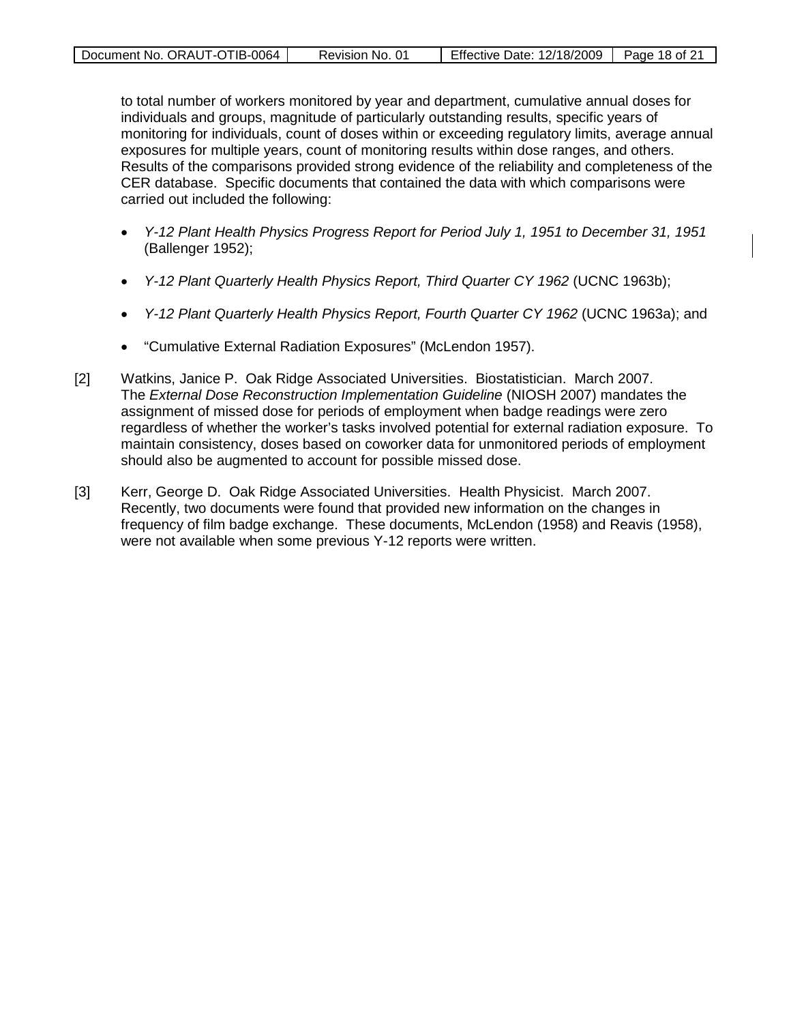| Document No. ORAUT-OTIB-0064 | Revision No. 01 | <b>Effective Date: 12/18/2009</b> | Page 18 of 21 |
|------------------------------|-----------------|-----------------------------------|---------------|
|                              |                 |                                   |               |

to total number of workers monitored by year and department, cumulative annual doses for individuals and groups, magnitude of particularly outstanding results, specific years of monitoring for individuals, count of doses within or exceeding regulatory limits, average annual exposures for multiple years, count of monitoring results within dose ranges, and others. Results of the comparisons provided strong evidence of the reliability and completeness of the CER database. Specific documents that contained the data with which comparisons were carried out included the following:

- *Y-12 Plant Health Physics Progress Report for Period July 1, 1951 to December 31, 1951* (Ballenger 1952);
- *Y-12 Plant Quarterly Health Physics Report, Third Quarter CY 1962* (UCNC 1963b);
- *Y-12 Plant Quarterly Health Physics Report, Fourth Quarter CY 1962* (UCNC 1963a); and
- "Cumulative External Radiation Exposures" (McLendon 1957).
- [2] Watkins, Janice P. Oak Ridge Associated Universities. Biostatistician. March 2007. The *External Dose Reconstruction Implementation Guideline* (NIOSH 2007) mandates the assignment of missed dose for periods of employment when badge readings were zero regardless of whether the worker's tasks involved potential for external radiation exposure. To maintain consistency, doses based on coworker data for unmonitored periods of employment should also be augmented to account for possible missed dose.
- [3] Kerr, George D. Oak Ridge Associated Universities. Health Physicist. March 2007. Recently, two documents were found that provided new information on the changes in frequency of film badge exchange. These documents, McLendon (1958) and Reavis (1958), were not available when some previous Y-12 reports were written.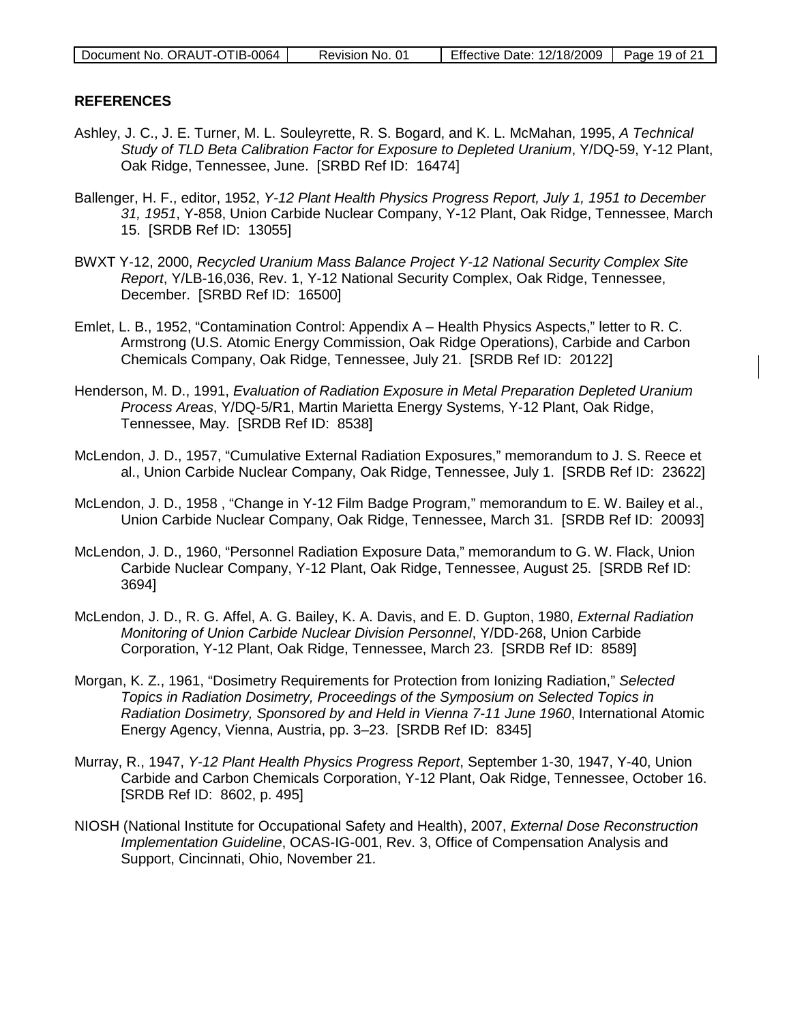| Document No. ORAUT-OTIB-0064 | Revision No. 01 | Effective Date: 12/18/2009   Page 19 of 21 |  |
|------------------------------|-----------------|--------------------------------------------|--|
|                              |                 |                                            |  |

### **REFERENCES**

- Ashley, J. C., J. E. Turner, M. L. Souleyrette, R. S. Bogard, and K. L. McMahan, 1995, *A Technical Study of TLD Beta Calibration Factor for Exposure to Depleted Uranium*, Y/DQ-59, Y-12 Plant, Oak Ridge, Tennessee, June. [SRBD Ref ID: 16474]
- Ballenger, H. F., editor, 1952, *Y-12 Plant Health Physics Progress Report, July 1, 1951 to December 31, 1951*, Y-858, Union Carbide Nuclear Company, Y-12 Plant, Oak Ridge, Tennessee, March 15. [SRDB Ref ID: 13055]
- BWXT Y-12, 2000, *Recycled Uranium Mass Balance Project Y-12 National Security Complex Site Report*, Y/LB-16,036, Rev. 1, Y-12 National Security Complex, Oak Ridge, Tennessee, December. [SRBD Ref ID: 16500]
- Emlet, L. B., 1952, "Contamination Control: Appendix A Health Physics Aspects," letter to R. C. Armstrong (U.S. Atomic Energy Commission, Oak Ridge Operations), Carbide and Carbon Chemicals Company, Oak Ridge, Tennessee, July 21. [SRDB Ref ID: 20122]
- Henderson, M. D., 1991, *Evaluation of Radiation Exposure in Metal Preparation Depleted Uranium Process Areas*, Y/DQ-5/R1, Martin Marietta Energy Systems, Y-12 Plant, Oak Ridge, Tennessee, May. [SRDB Ref ID: 8538]
- McLendon, J. D., 1957, "Cumulative External Radiation Exposures," memorandum to J. S. Reece et al., Union Carbide Nuclear Company, Oak Ridge, Tennessee, July 1. [SRDB Ref ID: 23622]
- McLendon, J. D., 1958 , "Change in Y-12 Film Badge Program," memorandum to E. W. Bailey et al., Union Carbide Nuclear Company, Oak Ridge, Tennessee, March 31. [SRDB Ref ID: 20093]
- McLendon, J. D., 1960, "Personnel Radiation Exposure Data," memorandum to G. W. Flack, Union Carbide Nuclear Company, Y-12 Plant, Oak Ridge, Tennessee, August 25. [SRDB Ref ID: 3694]
- McLendon, J. D., R. G. Affel, A. G. Bailey, K. A. Davis, and E. D. Gupton, 1980, *External Radiation Monitoring of Union Carbide Nuclear Division Personnel*, Y/DD-268, Union Carbide Corporation, Y-12 Plant, Oak Ridge, Tennessee, March 23. [SRDB Ref ID: 8589]
- Morgan, K. Z., 1961, "Dosimetry Requirements for Protection from Ionizing Radiation," *Selected Topics in Radiation Dosimetry, Proceedings of the Symposium on Selected Topics in Radiation Dosimetry, Sponsored by and Held in Vienna 7-11 June 1960*, International Atomic Energy Agency, Vienna, Austria, pp. 3–23. [SRDB Ref ID: 8345]
- Murray, R., 1947, *Y-12 Plant Health Physics Progress Report*, September 1-30, 1947, Y-40, Union Carbide and Carbon Chemicals Corporation, Y-12 Plant, Oak Ridge, Tennessee, October 16. [SRDB Ref ID: 8602, p. 495]
- NIOSH (National Institute for Occupational Safety and Health), 2007, *External Dose Reconstruction Implementation Guideline*, OCAS-IG-001, Rev. 3, Office of Compensation Analysis and Support, Cincinnati, Ohio, November 21.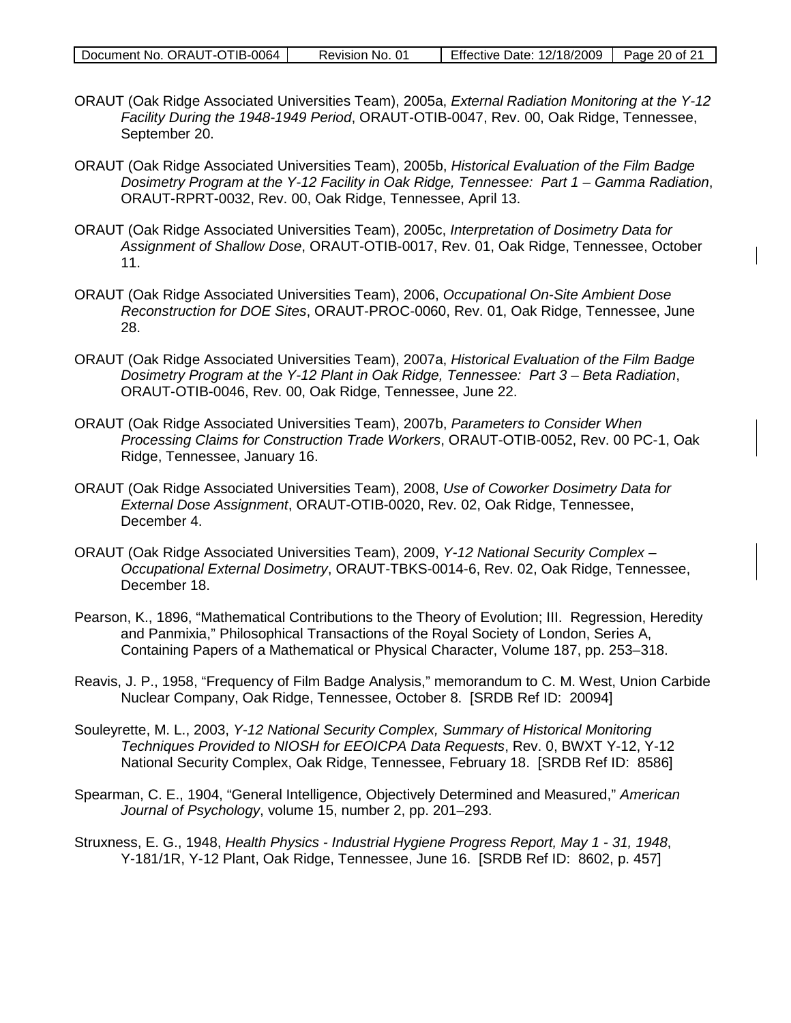| Document No. ORAUT-OTIB-0064 | Revision No. 01 | Effective Date: 12/18/2009   Page 20 of 21 |  |
|------------------------------|-----------------|--------------------------------------------|--|
|                              |                 |                                            |  |

- ORAUT (Oak Ridge Associated Universities Team), 2005a, *External Radiation Monitoring at the Y-12 Facility During the 1948-1949 Period*, ORAUT-OTIB-0047, Rev. 00, Oak Ridge, Tennessee, September 20.
- ORAUT (Oak Ridge Associated Universities Team), 2005b, *Historical Evaluation of the Film Badge Dosimetry Program at the Y-12 Facility in Oak Ridge, Tennessee: Part 1 – Gamma Radiation*, ORAUT-RPRT-0032, Rev. 00, Oak Ridge, Tennessee, April 13.
- ORAUT (Oak Ridge Associated Universities Team), 2005c, *Interpretation of Dosimetry Data for Assignment of Shallow Dose*, ORAUT-OTIB-0017, Rev. 01, Oak Ridge, Tennessee, October 11.
- ORAUT (Oak Ridge Associated Universities Team), 2006, *Occupational On-Site Ambient Dose Reconstruction for DOE Sites*, ORAUT-PROC-0060, Rev. 01, Oak Ridge, Tennessee, June 28.
- ORAUT (Oak Ridge Associated Universities Team), 2007a, *Historical Evaluation of the Film Badge Dosimetry Program at the Y-12 Plant in Oak Ridge, Tennessee: Part 3 – Beta Radiation,* ORAUT-OTIB-0046, Rev. 00, Oak Ridge, Tennessee, June 22.
- ORAUT (Oak Ridge Associated Universities Team), 2007b, *Parameters to Consider When Processing Claims for Construction Trade Workers*, ORAUT-OTIB-0052, Rev. 00 PC-1, Oak Ridge, Tennessee, January 16.
- ORAUT (Oak Ridge Associated Universities Team), 2008, *Use of Coworker Dosimetry Data for External Dose Assignment*, ORAUT-OTIB-0020, Rev. 02, Oak Ridge, Tennessee, December 4.
- ORAUT (Oak Ridge Associated Universities Team), 2009, *Y-12 National Security Complex Occupational External Dosimetry*, ORAUT-TBKS-0014-6, Rev. 02, Oak Ridge, Tennessee, December 18.
- Pearson, K., 1896, "Mathematical Contributions to the Theory of Evolution; III. Regression, Heredity and Panmixia," Philosophical Transactions of the Royal Society of London, Series A, Containing Papers of a Mathematical or Physical Character, Volume 187, pp. 253–318.
- Reavis, J. P., 1958, "Frequency of Film Badge Analysis," memorandum to C. M. West, Union Carbide Nuclear Company, Oak Ridge, Tennessee, October 8. [SRDB Ref ID: 20094]
- Souleyrette, M. L., 2003, *Y-12 National Security Complex, Summary of Historical Monitoring Techniques Provided to NIOSH for EEOICPA Data Requests*, Rev. 0, BWXT Y-12, Y-12 National Security Complex, Oak Ridge, Tennessee, February 18. [SRDB Ref ID: 8586]
- Spearman, C. E., 1904, "General Intelligence, Objectively Determined and Measured," *American Journal of Psychology*, volume 15, number 2, pp. 201–293.
- Struxness, E. G., 1948, *Health Physics Industrial Hygiene Progress Report, May 1 31, 1948*, Y-181/1R, Y-12 Plant, Oak Ridge, Tennessee, June 16. [SRDB Ref ID: 8602, p. 457]